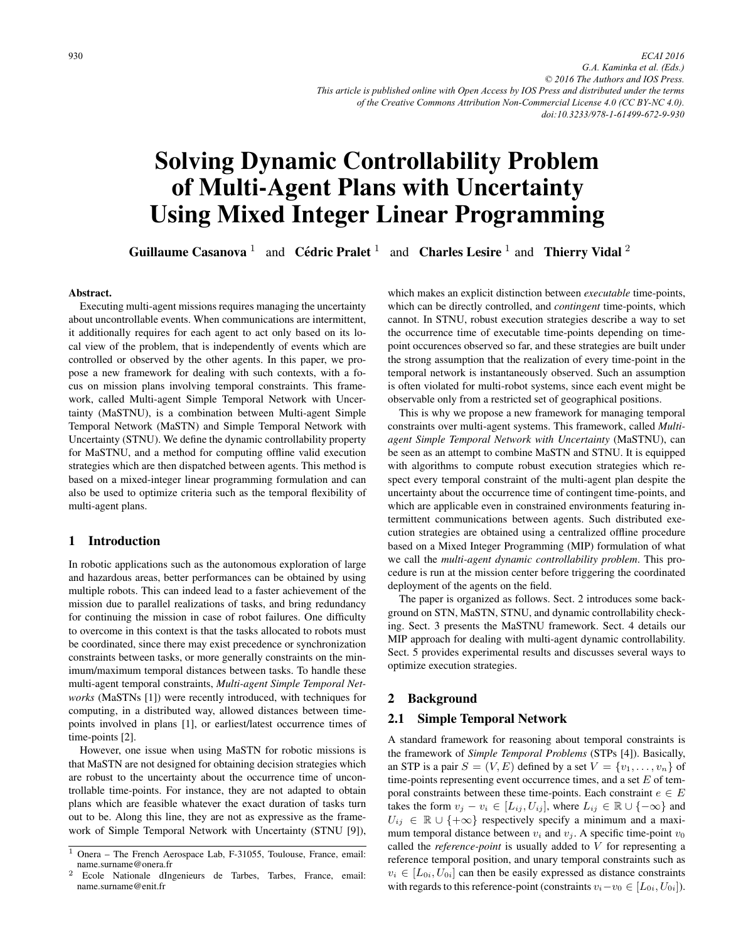# Solving Dynamic Controllability Problem of Multi-Agent Plans with Uncertainty Using Mixed Integer Linear Programming

Guillaume Casanova<sup>1</sup> and Cédric Pralet<sup>1</sup> and Charles Lesire<sup>1</sup> and Thierry Vidal<sup>2</sup>

#### Abstract.

Executing multi-agent missions requires managing the uncertainty about uncontrollable events. When communications are intermittent, it additionally requires for each agent to act only based on its local view of the problem, that is independently of events which are controlled or observed by the other agents. In this paper, we propose a new framework for dealing with such contexts, with a focus on mission plans involving temporal constraints. This framework, called Multi-agent Simple Temporal Network with Uncertainty (MaSTNU), is a combination between Multi-agent Simple Temporal Network (MaSTN) and Simple Temporal Network with Uncertainty (STNU). We define the dynamic controllability property for MaSTNU, and a method for computing offline valid execution strategies which are then dispatched between agents. This method is based on a mixed-integer linear programming formulation and can also be used to optimize criteria such as the temporal flexibility of multi-agent plans.

# 1 Introduction

In robotic applications such as the autonomous exploration of large and hazardous areas, better performances can be obtained by using multiple robots. This can indeed lead to a faster achievement of the mission due to parallel realizations of tasks, and bring redundancy for continuing the mission in case of robot failures. One difficulty to overcome in this context is that the tasks allocated to robots must be coordinated, since there may exist precedence or synchronization constraints between tasks, or more generally constraints on the minimum/maximum temporal distances between tasks. To handle these multi-agent temporal constraints, *Multi-agent Simple Temporal Networks* (MaSTNs [1]) were recently introduced, with techniques for computing, in a distributed way, allowed distances between timepoints involved in plans [1], or earliest/latest occurrence times of time-points [2].

However, one issue when using MaSTN for robotic missions is that MaSTN are not designed for obtaining decision strategies which are robust to the uncertainty about the occurrence time of uncontrollable time-points. For instance, they are not adapted to obtain plans which are feasible whatever the exact duration of tasks turn out to be. Along this line, they are not as expressive as the framework of Simple Temporal Network with Uncertainty (STNU [9]),

which makes an explicit distinction between *executable* time-points, which can be directly controlled, and *contingent* time-points, which cannot. In STNU, robust execution strategies describe a way to set the occurrence time of executable time-points depending on timepoint occurences observed so far, and these strategies are built under the strong assumption that the realization of every time-point in the temporal network is instantaneously observed. Such an assumption is often violated for multi-robot systems, since each event might be observable only from a restricted set of geographical positions.

This is why we propose a new framework for managing temporal constraints over multi-agent systems. This framework, called *Multiagent Simple Temporal Network with Uncertainty* (MaSTNU), can be seen as an attempt to combine MaSTN and STNU. It is equipped with algorithms to compute robust execution strategies which respect every temporal constraint of the multi-agent plan despite the uncertainty about the occurrence time of contingent time-points, and which are applicable even in constrained environments featuring intermittent communications between agents. Such distributed execution strategies are obtained using a centralized offline procedure based on a Mixed Integer Programming (MIP) formulation of what we call the *multi-agent dynamic controllability problem*. This procedure is run at the mission center before triggering the coordinated deployment of the agents on the field.

The paper is organized as follows. Sect. 2 introduces some background on STN, MaSTN, STNU, and dynamic controllability checking. Sect. 3 presents the MaSTNU framework. Sect. 4 details our MIP approach for dealing with multi-agent dynamic controllability. Sect. 5 provides experimental results and discusses several ways to optimize execution strategies.

## 2 Background

## 2.1 Simple Temporal Network

A standard framework for reasoning about temporal constraints is the framework of *Simple Temporal Problems* (STPs [4]). Basically, an STP is a pair  $S = (V, E)$  defined by a set  $V = \{v_1, \ldots, v_n\}$  of time-points representing event occurrence times, and a set  $E$  of temporal constraints between these time-points. Each constraint  $e \in E$ takes the form  $v_j - v_i \in [L_{ij}, U_{ij}]$ , where  $L_{ij} \in \mathbb{R} \cup \{-\infty\}$  and  $U_{ij} \in \mathbb{R} \cup \{+\infty\}$  respectively specify a minimum and a maximum temporal distance between  $v_i$  and  $v_j$ . A specific time-point  $v_0$ called the *reference-point* is usually added to V for representing a reference temporal position, and unary temporal constraints such as  $v_i \in [L_{0i}, U_{0i}]$  can then be easily expressed as distance constraints with regards to this reference-point (constraints  $v_i - v_0 \in [L_{0i}, U_{0i}]$ ).

<sup>1</sup> Onera – The French Aerospace Lab, F-31055, Toulouse, France, email: name.surname@onera.fr

<sup>2</sup> Ecole Nationale dIngenieurs de Tarbes, Tarbes, France, email: name.surname@enit.fr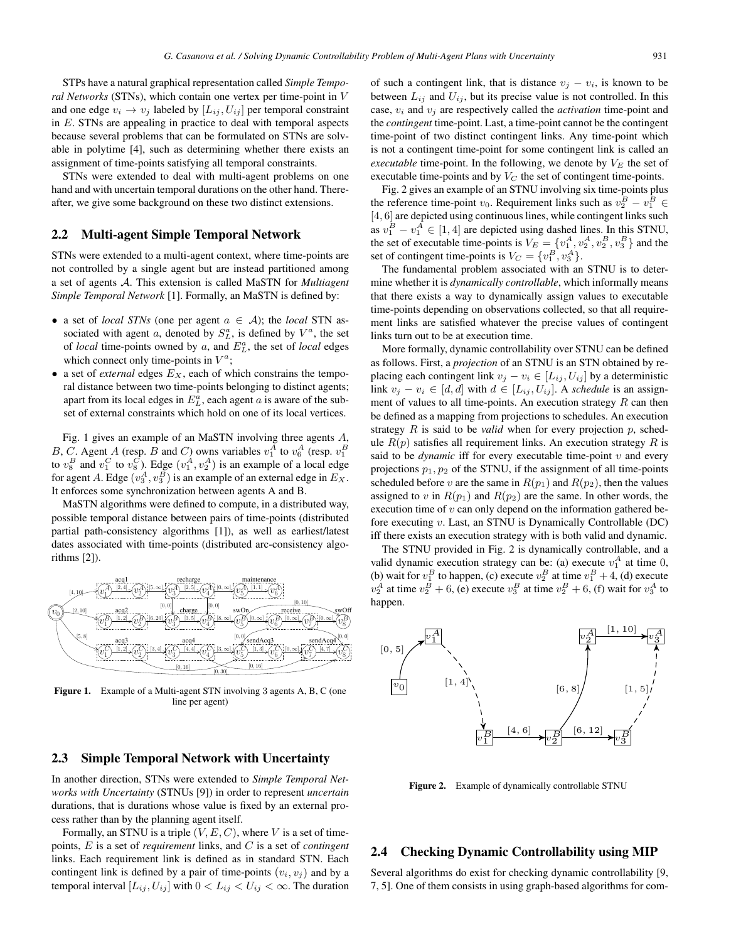STPs have a natural graphical representation called *Simple Temporal Networks* (STNs), which contain one vertex per time-point in V and one edge  $v_i \rightarrow v_j$  labeled by  $[L_{ij}, U_{ij}]$  per temporal constraint in  $E$ . STNs are appealing in practice to deal with temporal aspects because several problems that can be formulated on STNs are solvable in polytime [4], such as determining whether there exists an assignment of time-points satisfying all temporal constraints.

STNs were extended to deal with multi-agent problems on one hand and with uncertain temporal durations on the other hand. Thereafter, we give some background on these two distinct extensions.

## 2.2 Multi-agent Simple Temporal Network

STNs were extended to a multi-agent context, where time-points are not controlled by a single agent but are instead partitioned among a set of agents A. This extension is called MaSTN for *Multiagent Simple Temporal Network* [1]. Formally, an MaSTN is defined by:

- a set of *local STNs* (one per agent  $a \in A$ ); the *local* STN associated with agent a, denoted by  $S_L^a$ , is defined by  $V^a$ , the set of *local* time-points owned by  $a$ , and  $E_L^a$ , the set of *local* edges which connect only time-points in  $V^a$ ;
- a set of *external* edges  $E<sub>X</sub>$ , each of which constrains the temporal distance between two time-points belonging to distinct agents; apart from its local edges in  $E<sub>L</sub><sup>a</sup>$ , each agent a is aware of the subset of external constraints which hold on one of its local vertices.

Fig. 1 gives an example of an MaSTN involving three agents A, B, C. Agent A (resp. B and C) owns variables  $v_1^A$  to  $v_6^A$  (resp.  $v_1^B$ to  $v_8^B$  and  $v_1^C$  to  $v_8^C$ ). Edge  $(v_1^A, v_2^A)$  is an example of a local edge for agent A. Edge  $(v_3^A, v_3^B)$  is an example of an external edge in  $E_X$ . It enforces some synchronization between agents A and B.

MaSTN algorithms were defined to compute, in a distributed way, possible temporal distance between pairs of time-points (distributed partial path-consistency algorithms [1]), as well as earliest/latest dates associated with time-points (distributed arc-consistency algorithms [2]).



Figure 1. Example of a Multi-agent STN involving 3 agents A, B, C (one line per agent)

# 2.3 Simple Temporal Network with Uncertainty

In another direction, STNs were extended to *Simple Temporal Networks with Uncertainty* (STNUs [9]) in order to represent *uncertain* durations, that is durations whose value is fixed by an external process rather than by the planning agent itself.

Formally, an STNU is a triple  $(V, E, C)$ , where V is a set of timepoints, E is a set of *requirement* links, and C is a set of *contingent* links. Each requirement link is defined as in standard STN. Each contingent link is defined by a pair of time-points  $(v_i, v_j)$  and by a temporal interval  $[L_{ij}, U_{ij}]$  with  $0 < L_{ij} < U_{ij} < \infty$ . The duration

of such a contingent link, that is distance  $v_i - v_i$ , is known to be between  $L_{ij}$  and  $U_{ij}$ , but its precise value is not controlled. In this case,  $v_i$  and  $v_j$  are respectively called the *activation* time-point and the *contingent* time-point. Last, a time-point cannot be the contingent time-point of two distinct contingent links. Any time-point which is not a contingent time-point for some contingent link is called an *executable* time-point. In the following, we denote by  $V_E$  the set of executable time-points and by  $V_C$  the set of contingent time-points.

Fig. 2 gives an example of an STNU involving six time-points plus the reference time-point  $v_0$ . Requirement links such as  $v_2^B - v_1^B$ [4, 6] are depicted using continuous lines, while contingent links such as  $v_1^B - v_1^A \in [1, 4]$  are depicted using dashed lines. In this STNU, the set of executable time-points is  $V_E = \{v_1^A, v_2^A, v_2^B, v_3^B\}$  and the set of contingent time-points is  $V_C = \{v_1^B, v_3^A\}.$ 

The fundamental problem associated with an STNU is to determine whether it is *dynamically controllable*, which informally means that there exists a way to dynamically assign values to executable time-points depending on observations collected, so that all requirement links are satisfied whatever the precise values of contingent links turn out to be at execution time.

More formally, dynamic controllability over STNU can be defined as follows. First, a *projection* of an STNU is an STN obtained by replacing each contingent link  $v_i - v_i \in [L_{ij}, U_{ij}]$  by a deterministic link  $v_j - v_i \in [d, d]$  with  $d \in [L_{ij}, U_{ij}]$ . A *schedule* is an assignment of values to all time-points. An execution strategy  $R$  can then be defined as a mapping from projections to schedules. An execution strategy  $R$  is said to be *valid* when for every projection  $p$ , schedule  $R(p)$  satisfies all requirement links. An execution strategy R is said to be  $dynamic$  iff for every executable time-point  $v$  and every projections  $p_1, p_2$  of the STNU, if the assignment of all time-points scheduled before v are the same in  $R(p_1)$  and  $R(p_2)$ , then the values assigned to v in  $R(p_1)$  and  $R(p_2)$  are the same. In other words, the execution time of  $v$  can only depend on the information gathered before executing v. Last, an STNU is Dynamically Controllable (DC) iff there exists an execution strategy with is both valid and dynamic.

The STNU provided in Fig. 2 is dynamically controllable, and a valid dynamic execution strategy can be: (a) execute  $v_1^A$  at time 0, (b) wait for  $v_1^B$  to happen, (c) execute  $v_2^B$  at time  $v_1^B + 4$ , (d) execute  $v_2^A$  at time  $v_2^B + 6$ , (e) execute  $v_3^B$  at time  $v_2^B + 6$ , (f) wait for  $v_3^A$  to happen.



Figure 2. Example of dynamically controllable STNU

## 2.4 Checking Dynamic Controllability using MIP

Several algorithms do exist for checking dynamic controllability [9, 7, 5]. One of them consists in using graph-based algorithms for com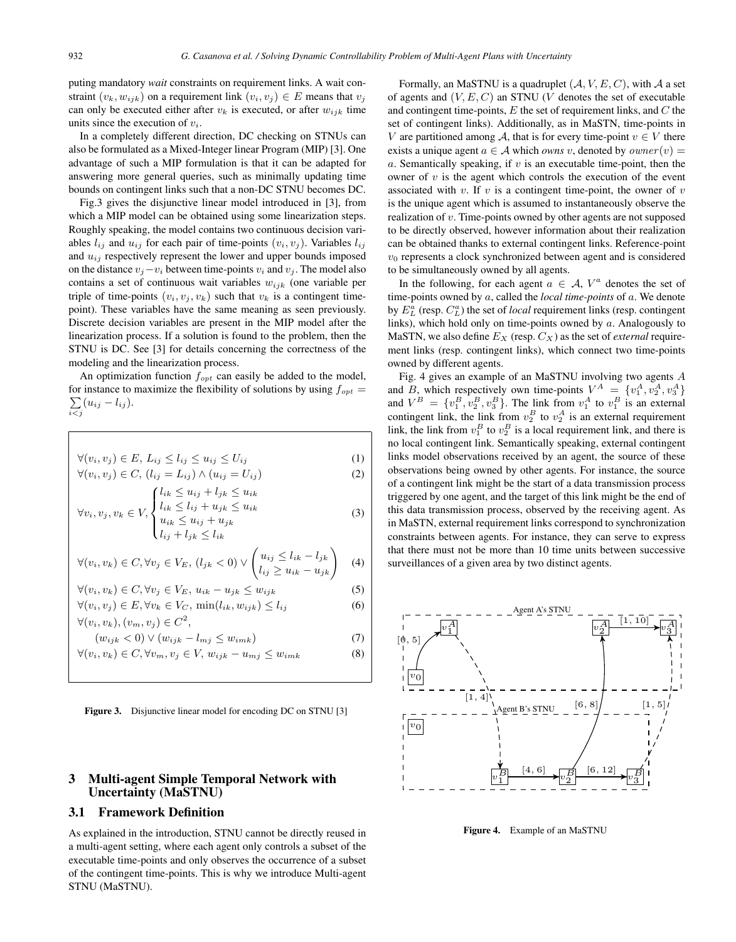puting mandatory *wait* constraints on requirement links. A wait constraint  $(v_k, w_{ijk})$  on a requirement link  $(v_i, v_j) \in E$  means that  $v_j$ can only be executed either after  $v_k$  is executed, or after  $w_{ijk}$  time units since the execution of  $v_i$ .

In a completely different direction, DC checking on STNUs can also be formulated as a Mixed-Integer linear Program (MIP) [3]. One advantage of such a MIP formulation is that it can be adapted for answering more general queries, such as minimally updating time bounds on contingent links such that a non-DC STNU becomes DC.

Fig.3 gives the disjunctive linear model introduced in [3], from which a MIP model can be obtained using some linearization steps. Roughly speaking, the model contains two continuous decision variables  $l_{ij}$  and  $u_{ij}$  for each pair of time-points  $(v_i, v_j)$ . Variables  $l_{ij}$ and  $u_{ij}$  respectively represent the lower and upper bounds imposed on the distance  $v_j - v_i$  between time-points  $v_i$  and  $v_j$ . The model also contains a set of continuous wait variables  $w_{ijk}$  (one variable per triple of time-points  $(v_i, v_j, v_k)$  such that  $v_k$  is a contingent timepoint). These variables have the same meaning as seen previously. Discrete decision variables are present in the MIP model after the linearization process. If a solution is found to the problem, then the STNU is DC. See [3] for details concerning the correctness of the modeling and the linearization process.

An optimization function  $f_{opt}$  can easily be added to the model, for instance to maximize the flexibility of solutions by using  $f_{opt} =$  $\sum$  $\sum_{i < j} (u_{ij} - l_{ij}).$ 

$$
\forall (v_i, v_j) \in E, L_{ij} \le l_{ij} \le u_{ij} \le U_{ij}
$$
\n
$$
(1)
$$

$$
\forall (v_i, v_j) \in C, (l_{ij} = L_{ij}) \land (u_{ij} = U_{ij})
$$
\n
$$
\{l_{ik} \le u_{ij} + l_{jk} \le u_{ik}\}\tag{2}
$$

$$
\forall v_i, v_j, v_k \in V, \begin{cases} \n\lim_{i \to \infty} \leq l_{ij} + u_{jk} \leq u_{ik} \\ \nu_{ik} \leq u_{ij} + u_{jk} \\ \nl_{ij} + l_{jk} \leq l_{ik} \n\end{cases} \tag{3}
$$

$$
\forall (v_i, v_k) \in C, \forall v_j \in V_E, (l_{jk} < 0) \lor \begin{pmatrix} u_{ij} \leq l_{ik} - l_{jk} \\ l_{ij} \geq u_{ik} - u_{jk} \end{pmatrix} \tag{4}
$$

$$
\forall (v_i, v_k) \in C, \forall v_j \in V_E, u_{ik} - u_{jk} \le w_{ijk}
$$
 (5)

$$
\forall (v_i, v_j) \in E, \forall v_k \in V_C, \, \min(l_{ik}, w_{ijk}) \le l_{ij} \tag{6}
$$

$$
\forall (v_i, v_k), (v_m, v_j) \in C^2,
$$

$$
(w_{ijk} < 0) \lor (w_{ijk} - l_{mj} \le w_{imk}) \tag{7}
$$
\n
$$
\forall (v_i, v_k) \in C, \forall v_m, v_j \in V, \, w_{ijk} - u_{mj} \le w_{imk} \tag{8}
$$

Figure 3. Disjunctive linear model for encoding DC on STNU [3]

# 3 Multi-agent Simple Temporal Network with Uncertainty (MaSTNU)

## 3.1 Framework Definition

As explained in the introduction, STNU cannot be directly reused in a multi-agent setting, where each agent only controls a subset of the executable time-points and only observes the occurrence of a subset of the contingent time-points. This is why we introduce Multi-agent STNU (MaSTNU).

Formally, an MaSTNU is a quadruplet  $(A, V, E, C)$ , with A a set of agents and  $(V, E, C)$  an STNU (V denotes the set of executable and contingent time-points,  $E$  the set of requirement links, and  $C$  the set of contingent links). Additionally, as in MaSTN, time-points in V are partitioned among A, that is for every time-point  $v \in V$  there exists a unique agent  $a \in A$  which *owns* v, denoted by  $\textit{owner}(v) =$ a. Semantically speaking, if  $v$  is an executable time-point, then the owner of  $v$  is the agent which controls the execution of the event associated with  $v$ . If  $v$  is a contingent time-point, the owner of  $v$ is the unique agent which is assumed to instantaneously observe the realization of v. Time-points owned by other agents are not supposed to be directly observed, however information about their realization can be obtained thanks to external contingent links. Reference-point  $v<sub>0</sub>$  represents a clock synchronized between agent and is considered to be simultaneously owned by all agents.

In the following, for each agent  $a \in A$ ,  $V^a$  denotes the set of time-points owned by a, called the *local time-points* of a. We denote by  $E<sub>L</sub><sup>a</sup>$  (resp.  $C<sub>L</sub><sup>a</sup>$ ) the set of *local* requirement links (resp. contingent links), which hold only on time-points owned by a. Analogously to MaSTN, we also define  $E_X$  (resp.  $C_X$ ) as the set of *external* requirement links (resp. contingent links), which connect two time-points owned by different agents.

Fig. 4 gives an example of an MaSTNU involving two agents A and B, which respectively own time-points  $V^A = \{v_1^A, v_2^A, v_3^A\}$ and  $V^B = \{v_1^B, v_2^B, v_3^B\}$ . The link from  $v_1^A$  to  $v_1^B$  is an external contingent link, the link from  $v_2^B$  to  $v_2^A$  is an external requirement link, the link from  $v_1^B$  to  $v_2^B$  is a local requirement link, and there is no local contingent link. Semantically speaking, external contingent links model observations received by an agent, the source of these observations being owned by other agents. For instance, the source of a contingent link might be the start of a data transmission process triggered by one agent, and the target of this link might be the end of this data transmission process, observed by the receiving agent. As in MaSTN, external requirement links correspond to synchronization constraints between agents. For instance, they can serve to express that there must not be more than 10 time units between successive surveillances of a given area by two distinct agents.



Figure 4. Example of an MaSTNU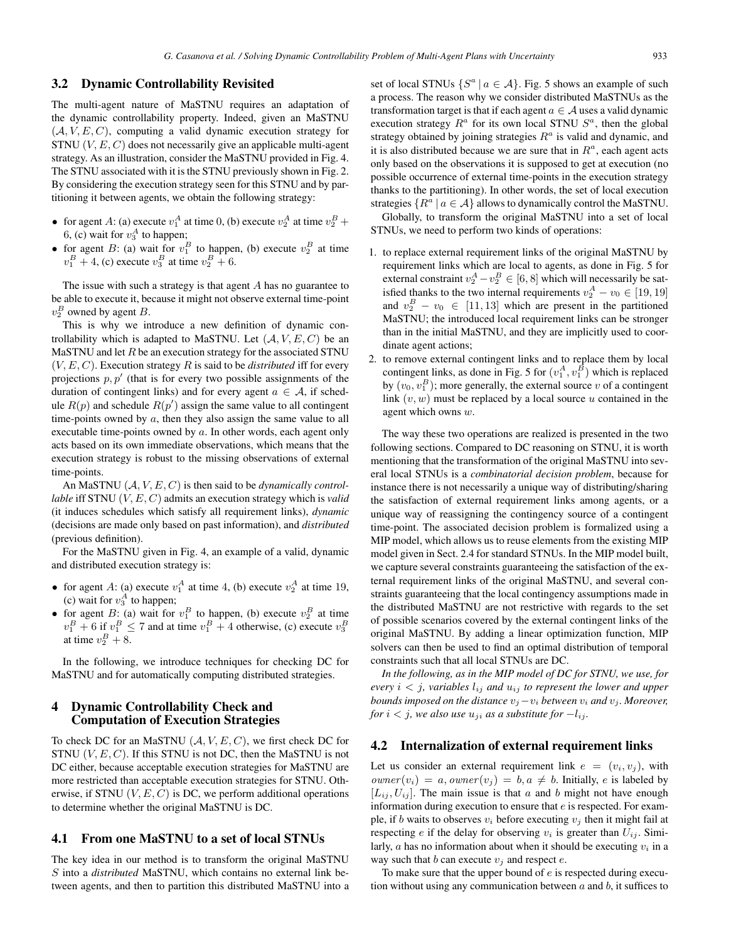## 3.2 Dynamic Controllability Revisited

The multi-agent nature of MaSTNU requires an adaptation of the dynamic controllability property. Indeed, given an MaSTNU  $(A, V, E, C)$ , computing a valid dynamic execution strategy for STNU  $(V, E, C)$  does not necessarily give an applicable multi-agent strategy. As an illustration, consider the MaSTNU provided in Fig. 4. The STNU associated with it is the STNU previously shown in Fig. 2. By considering the execution strategy seen for this STNU and by partitioning it between agents, we obtain the following strategy:

- for agent A: (a) execute  $v_1^A$  at time 0, (b) execute  $v_2^A$  at time  $v_2^B$  + 6, (c) wait for  $v_3^A$  to happen;
- for agent B: (a) wait for  $v_1^B$  to happen, (b) execute  $v_2^B$  at time  $v_1^B + 4$ , (c) execute  $v_3^B$  at time  $v_2^B + 6$ .

The issue with such a strategy is that agent  $A$  has no guarantee to be able to execute it, because it might not observe external time-point  $v_2^B$  owned by agent B.

This is why we introduce a new definition of dynamic controllability which is adapted to MaSTNU. Let  $(A, V, E, C)$  be an MaSTNU and let  $R$  be an execution strategy for the associated STNU  $(V, E, C)$ . Execution strategy R is said to be *distributed* iff for every projections  $p, p'$  (that is for every two possible assignments of the duration of contingent links) and for every agent  $a \in A$ , if schedule  $R(p)$  and schedule  $R(p')$  assign the same value to all contingent time-points owned by  $a$ , then they also assign the same value to all executable time-points owned by  $a$ . In other words, each agent only acts based on its own immediate observations, which means that the execution strategy is robust to the missing observations of external time-points.

An MaSTNU (A,V,E,C) is then said to be *dynamically controllable* iff STNU (V,E,C) admits an execution strategy which is *valid* (it induces schedules which satisfy all requirement links), *dynamic* (decisions are made only based on past information), and *distributed* (previous definition).

For the MaSTNU given in Fig. 4, an example of a valid, dynamic and distributed execution strategy is:

- for agent A: (a) execute  $v_1^A$  at time 4, (b) execute  $v_2^A$  at time 19, (c) wait for  $v_3^A$  to happen;
- for agent B: (a) wait for  $v_1^B$  to happen, (b) execute  $v_2^B$  at time  $v_1^B + 6$  if  $v_1^B \le 7$  and at time  $v_1^B + 4$  otherwise, (c) execute  $v_3^B$ at time  $v_2^B + 8$ .

In the following, we introduce techniques for checking DC for MaSTNU and for automatically computing distributed strategies.

# 4 Dynamic Controllability Check and Computation of Execution Strategies

To check DC for an MaSTNU  $(A, V, E, C)$ , we first check DC for STNU  $(V, E, C)$ . If this STNU is not DC, then the MaSTNU is not DC either, because acceptable execution strategies for MaSTNU are more restricted than acceptable execution strategies for STNU. Otherwise, if STNU  $(V, E, C)$  is DC, we perform additional operations to determine whether the original MaSTNU is DC.

## 4.1 From one MaSTNU to a set of local STNUs

The key idea in our method is to transform the original MaSTNU S into a *distributed* MaSTNU, which contains no external link between agents, and then to partition this distributed MaSTNU into a set of local STNUs  $\{S^a | a \in \mathcal{A}\}\$ . Fig. 5 shows an example of such a process. The reason why we consider distributed MaSTNUs as the transformation target is that if each agent  $a \in A$  uses a valid dynamic execution strategy  $R^a$  for its own local STNU  $S^a$ , then the global strategy obtained by joining strategies  $R^a$  is valid and dynamic, and it is also distributed because we are sure that in  $R^a$ , each agent acts only based on the observations it is supposed to get at execution (no possible occurrence of external time-points in the execution strategy thanks to the partitioning). In other words, the set of local execution strategies  $\{R^a \mid a \in \mathcal{A}\}\$ allows to dynamically control the MaSTNU.

Globally, to transform the original MaSTNU into a set of local STNUs, we need to perform two kinds of operations:

- 1. to replace external requirement links of the original MaSTNU by requirement links which are local to agents, as done in Fig. 5 for external constraint  $v_2^A - v_2^B \in [6, 8]$  which will necessarily be satisfied thanks to the two internal requirements  $v_2^A - v_0 \in [19, 19]$ and  $v_2^B - v_0 \in [11, 13]$  which are present in the partitioned MaSTNU; the introduced local requirement links can be stronger than in the initial MaSTNU, and they are implicitly used to coordinate agent actions;
- 2. to remove external contingent links and to replace them by local contingent links, as done in Fig. 5 for  $(v_1^A, v_1^{\overline{B}})$  which is replaced by  $(v_0, v_1^B)$ ; more generally, the external source v of a contingent link  $(v, w)$  must be replaced by a local source u contained in the agent which owns w.

The way these two operations are realized is presented in the two following sections. Compared to DC reasoning on STNU, it is worth mentioning that the transformation of the original MaSTNU into several local STNUs is a *combinatorial decision problem*, because for instance there is not necessarily a unique way of distributing/sharing the satisfaction of external requirement links among agents, or a unique way of reassigning the contingency source of a contingent time-point. The associated decision problem is formalized using a MIP model, which allows us to reuse elements from the existing MIP model given in Sect. 2.4 for standard STNUs. In the MIP model built, we capture several constraints guaranteeing the satisfaction of the external requirement links of the original MaSTNU, and several constraints guaranteeing that the local contingency assumptions made in the distributed MaSTNU are not restrictive with regards to the set of possible scenarios covered by the external contingent links of the original MaSTNU. By adding a linear optimization function, MIP solvers can then be used to find an optimal distribution of temporal constraints such that all local STNUs are DC.

*In the following, as in the MIP model of DC for STNU, we use, for every*  $i < j$ *, variables*  $l_{ij}$  *and*  $u_{ij}$  *to represent the lower and upper bounds imposed on the distance*  $v_j - v_i$  *between*  $v_i$  *and*  $v_j$ *. Moreover, for*  $i < j$ *, we also use*  $u_{ji}$  *as a substitute for*  $-l_{ij}$ *.* 

## 4.2 Internalization of external requirement links

Let us consider an external requirement link  $e = (v_i, v_j)$ , with  $\text{owner}(v_i) = a, \text{owner}(v_j) = b, a \neq b.$  Initially, e is labeled by  $[L_{ij}, U_{ij}]$ . The main issue is that a and b might not have enough information during execution to ensure that e is respected. For example, if b waits to observes  $v_i$  before executing  $v_i$  then it might fail at respecting e if the delay for observing  $v_i$  is greater than  $U_{ij}$ . Similarly,  $a$  has no information about when it should be executing  $v_i$  in a way such that  $b$  can execute  $v_i$  and respect  $e$ .

To make sure that the upper bound of  $e$  is respected during execution without using any communication between  $a$  and  $b$ , it suffices to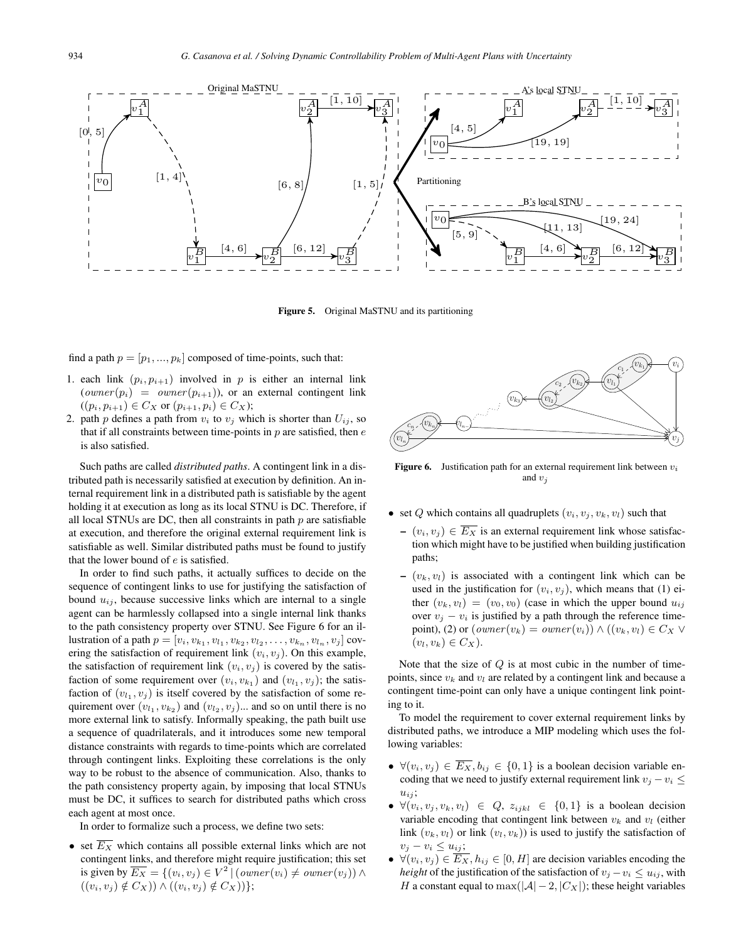

Figure 5. Original MaSTNU and its partitioning

find a path  $p = [p_1, ..., p_k]$  composed of time-points, such that:

- 1. each link  $(p_i, p_{i+1})$  involved in p is either an internal link  $(owner(p_i) = owner(p_{i+1})$ , or an external contingent link  $((p_i, p_{i+1}) \in C_X \text{ or } (p_{i+1}, p_i) \in C_X);$
- 2. path p defines a path from  $v_i$  to  $v_j$  which is shorter than  $U_{ij}$ , so that if all constraints between time-points in  $p$  are satisfied, then  $e$ is also satisfied.

Such paths are called *distributed paths*. A contingent link in a distributed path is necessarily satisfied at execution by definition. An internal requirement link in a distributed path is satisfiable by the agent holding it at execution as long as its local STNU is DC. Therefore, if all local STNUs are DC, then all constraints in path  $p$  are satisfiable at execution, and therefore the original external requirement link is satisfiable as well. Similar distributed paths must be found to justify that the lower bound of  $e$  is satisfied.

In order to find such paths, it actually suffices to decide on the sequence of contingent links to use for justifying the satisfaction of bound  $u_{ij}$ , because successive links which are internal to a single agent can be harmlessly collapsed into a single internal link thanks to the path consistency property over STNU. See Figure 6 for an illustration of a path  $p = [v_i, v_{k_1}, v_{l_1}, v_{k_2}, v_{l_2}, \ldots, v_{k_n}, v_{l_n}, v_j]$  covering the satisfaction of requirement link  $(v_i, v_j)$ . On this example, the satisfaction of requirement link  $(v_i, v_j)$  is covered by the satisfaction of some requirement over  $(v_i, v_{k_1})$  and  $(v_{l_1}, v_j)$ ; the satisfaction of  $(v_{l_1}, v_j)$  is itself covered by the satisfaction of some requirement over  $(v_{l_1}, v_{k_2})$  and  $(v_{l_2}, v_j)$ ... and so on until there is no more external link to satisfy. Informally speaking, the path built use a sequence of quadrilaterals, and it introduces some new temporal distance constraints with regards to time-points which are correlated through contingent links. Exploiting these correlations is the only way to be robust to the absence of communication. Also, thanks to the path consistency property again, by imposing that local STNUs must be DC, it suffices to search for distributed paths which cross each agent at most once.

In order to formalize such a process, we define two sets:

• set  $\overline{E_X}$  which contains all possible external links which are not contingent links, and therefore might require justification; this set is given by  $\overline{E_X} = \{(v_i, v_j) \in V^2 \mid (owner(v_i) \neq owner(v_j)) \land$  $((v_i, v_j) \notin C_X)) \wedge ((v_i, v_j) \notin C_X))$ ;



**Figure 6.** Justification path for an external requirement link between  $v_i$ and  $v_i$ 

- set Q which contains all quadruplets  $(v_i, v_j, v_k, v_l)$  such that
	- $-(v_i, v_j) \in \overline{E_X}$  is an external requirement link whose satisfaction which might have to be justified when building justification paths;
	- $(v_k, v_l)$  is associated with a contingent link which can be used in the justification for  $(v_i, v_j)$ , which means that (1) either  $(v_k, v_l) = (v_0, v_0)$  (case in which the upper bound  $u_{ij}$ ) over  $v_j - v_i$  is justified by a path through the reference timepoint), (2) or  $(owner(v_k) = owner(v_i)) \wedge ((v_k, v_l) \in C_X \vee$  $(v_l, v_k) \in C_X$ ).

Note that the size of  $Q$  is at most cubic in the number of timepoints, since  $v_k$  and  $v_l$  are related by a contingent link and because a contingent time-point can only have a unique contingent link pointing to it.

To model the requirement to cover external requirement links by distributed paths, we introduce a MIP modeling which uses the following variables:

- $\forall (v_i, v_j) \in \overline{E_X}, b_{ij} \in \{0, 1\}$  is a boolean decision variable encoding that we need to justify external requirement link  $v_i - v_i \leq$  $u_{ij}$ ;
- $\forall (v_i, v_j, v_k, v_l) \in Q$ ,  $z_{ijkl} \in \{0, 1\}$  is a boolean decision variable encoding that contingent link between  $v_k$  and  $v_l$  (either link  $(v_k, v_l)$  or link  $(v_l, v_k)$ ) is used to justify the satisfaction of  $v_j - v_i \leq u_{ij};$
- $\forall (v_i, v_j) \in \overline{E_X}, h_{ij} \in [0, H]$  are decision variables encoding the *height* of the justification of the satisfaction of  $v_i - v_i \leq u_{ij}$ , with H a constant equal to max $(|A| - 2, |C_X|)$ ; these height variables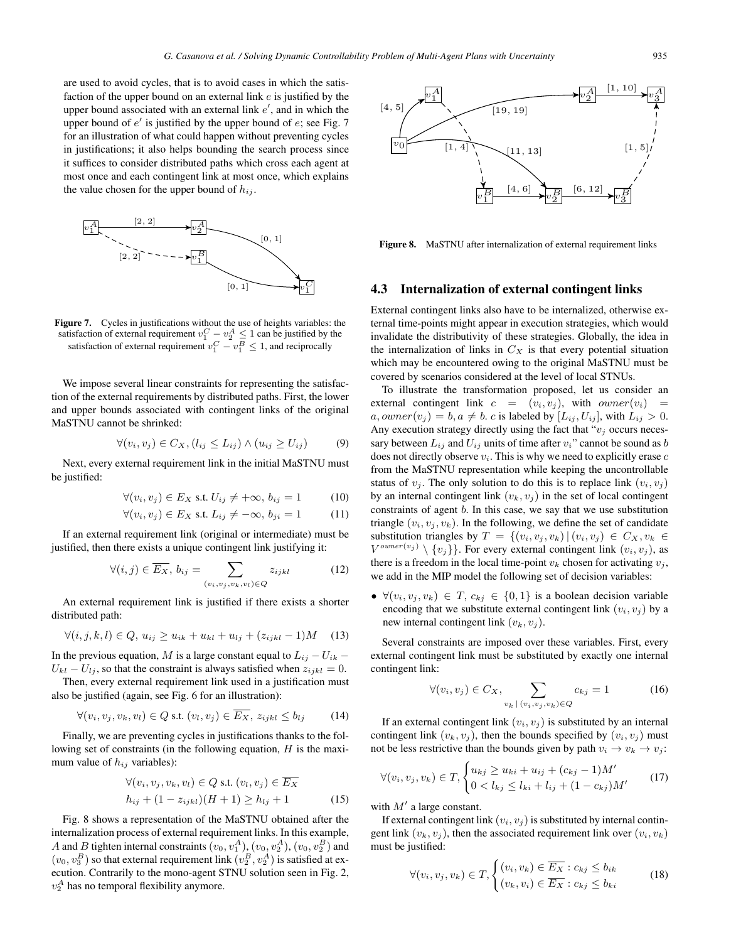are used to avoid cycles, that is to avoid cases in which the satisfaction of the upper bound on an external link  $e$  is justified by the upper bound associated with an external link  $e'$ , and in which the upper bound of  $e'$  is justified by the upper bound of  $e$ ; see Fig. 7 for an illustration of what could happen without preventing cycles in justifications; it also helps bounding the search process since it suffices to consider distributed paths which cross each agent at most once and each contingent link at most once, which explains the value chosen for the upper bound of  $h_{ij}$ .



Figure 7. Cycles in justifications without the use of heights variables: the satisfaction of external requirement  $v_1^C - v_2^A \leq 1$  can be justified by the satisfaction of external requirement  $v_1^C - v_1^B \le 1$ , and reciprocally

We impose several linear constraints for representing the satisfaction of the external requirements by distributed paths. First, the lower and upper bounds associated with contingent links of the original MaSTNU cannot be shrinked:

$$
\forall (v_i, v_j) \in C_X, (l_{ij} \le L_{ij}) \land (u_{ij} \ge U_{ij}) \tag{9}
$$

Next, every external requirement link in the initial MaSTNU must be justified:

$$
\forall (v_i, v_j) \in E_X \text{ s.t. } U_{ij} \neq +\infty, \, b_{ij} = 1 \tag{10}
$$

$$
\forall (v_i, v_j) \in E_X \text{ s.t. } L_{ij} \neq -\infty, b_{ji} = 1 \tag{11}
$$

If an external requirement link (original or intermediate) must be justified, then there exists a unique contingent link justifying it:

$$
\forall (i,j) \in \overline{E_X}, b_{ij} = \sum_{(v_i, v_j, v_k, v_l) \in Q} z_{ijkl} \tag{12}
$$

An external requirement link is justified if there exists a shorter distributed path:

$$
\forall (i, j, k, l) \in Q, u_{ij} \ge u_{ik} + u_{kl} + u_{lj} + (z_{ijkl} - 1)M \quad (13)
$$

In the previous equation, M is a large constant equal to  $L_{ij} - U_{ik}$  –  $U_{kl} - U_{lj}$ , so that the constraint is always satisfied when  $z_{ijkl} = 0$ .

Then, every external requirement link used in a justification must also be justified (again, see Fig. 6 for an illustration):

$$
\forall (v_i, v_j, v_k, v_l) \in Q \text{ s.t. } (v_l, v_j) \in \overline{E_X}, z_{ijkl} \le b_{lj} \tag{14}
$$

Finally, we are preventing cycles in justifications thanks to the following set of constraints (in the following equation,  $H$  is the maximum value of  $h_{ij}$  variables):

$$
\forall (v_i, v_j, v_k, v_l) \in Q \text{ s.t. } (v_l, v_j) \in \overline{E_X}
$$
  

$$
h_{ij} + (1 - z_{ijkl})(H + 1) \ge h_{lj} + 1
$$
 (15)

Fig. 8 shows a representation of the MaSTNU obtained after the internalization process of external requirement links. In this example, A and B tighten internal constraints  $(v_0, v_1^A)$ ,  $(v_0, v_2^A)$ ,  $(v_0, v_2^B)$  and  $(v_0, v_3^B)$  so that external requirement link  $(v_2^B, v_2^A)$  is satisfied at execution. Contrarily to the mono-agent STNU solution seen in Fig. 2,  $v_2^A$  has no temporal flexibility anymore.



Figure 8. MaSTNU after internalization of external requirement links

# 4.3 Internalization of external contingent links

External contingent links also have to be internalized, otherwise external time-points might appear in execution strategies, which would invalidate the distributivity of these strategies. Globally, the idea in the internalization of links in  $C_X$  is that every potential situation which may be encountered owing to the original MaSTNU must be covered by scenarios considered at the level of local STNUs.

To illustrate the transformation proposed, let us consider an external contingent link  $c = (v_i, v_j)$ , with  $owner(v_i)$  =  $a, owner(v_j) = b, a \neq b$ . c is labeled by  $[L_{ij}, U_{ij}]$ , with  $L_{ij} > 0$ . Any execution strategy directly using the fact that " $v_j$  occurs necessary between  $L_{ij}$  and  $U_{ij}$  units of time after  $v_i$ " cannot be sound as b does not directly observe  $v_i$ . This is why we need to explicitly erase  $c$ from the MaSTNU representation while keeping the uncontrollable status of  $v_i$ . The only solution to do this is to replace link  $(v_i, v_j)$ by an internal contingent link  $(v_k, v_j)$  in the set of local contingent constraints of agent b. In this case, we say that we use substitution triangle  $(v_i, v_j, v_k)$ . In the following, we define the set of candidate substitution triangles by  $T = \{(v_i, v_j, v_k) | (v_i, v_j) \in C_X, v_k \in$  $V^{owner(v_j)} \setminus \{v_j\}$ . For every external contingent link  $(v_i, v_j)$ , as there is a freedom in the local time-point  $v_k$  chosen for activating  $v_j$ , we add in the MIP model the following set of decision variables:

•  $\forall (v_i, v_j, v_k) \in T, c_{kj} \in \{0, 1\}$  is a boolean decision variable encoding that we substitute external contingent link  $(v_i, v_j)$  by a new internal contingent link  $(v_k, v_j)$ .

Several constraints are imposed over these variables. First, every external contingent link must be substituted by exactly one internal contingent link:

$$
\forall (v_i, v_j) \in C_X, \sum_{v_k \mid (v_i, v_j, v_k) \in Q} c_{kj} = 1 \tag{16}
$$

If an external contingent link  $(v_i, v_j)$  is substituted by an internal contingent link  $(v_k, v_j)$ , then the bounds specified by  $(v_i, v_j)$  must not be less restrictive than the bounds given by path  $v_i \rightarrow v_k \rightarrow v_j$ :

$$
\forall (v_i, v_j, v_k) \in T, \begin{cases} u_{kj} \ge u_{ki} + u_{ij} + (c_{kj} - 1)M' \\ 0 < l_{kj} \le l_{ki} + l_{ij} + (1 - c_{kj})M' \end{cases} \tag{17}
$$

with  $M'$  a large constant.

If external contingent link  $(v_i, v_j)$  is substituted by internal contingent link  $(v_k, v_j)$ , then the associated requirement link over  $(v_i, v_k)$ must be justified:

$$
\forall (v_i, v_j, v_k) \in T, \begin{cases} (v_i, v_k) \in \overline{E_X} : c_{kj} \le b_{ik} \\ (v_k, v_i) \in \overline{E_X} : c_{kj} \le b_{ki} \end{cases}
$$
(18)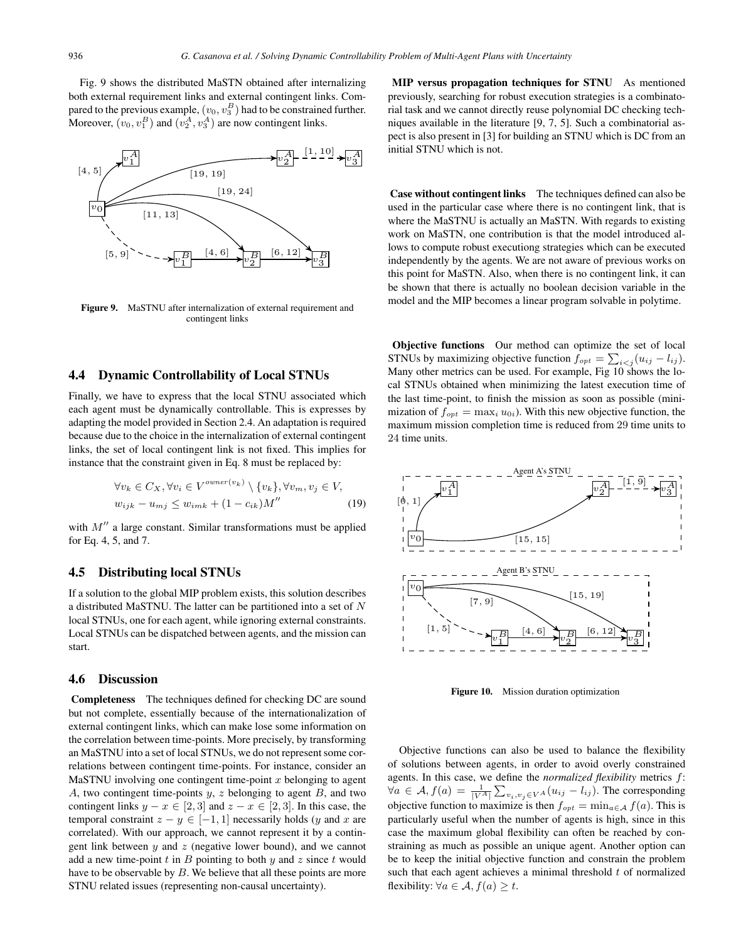Fig. 9 shows the distributed MaSTN obtained after internalizing both external requirement links and external contingent links. Compared to the previous example,  $(v_0, v_3^B)$  had to be constrained further. Moreover,  $(v_0, v_1^B)$  and  $(v_2^A, v_3^A)$  are now contingent links.



Figure 9. MaSTNU after internalization of external requirement and contingent links

## 4.4 Dynamic Controllability of Local STNUs

Finally, we have to express that the local STNU associated which each agent must be dynamically controllable. This is expresses by adapting the model provided in Section 2.4. An adaptation is required because due to the choice in the internalization of external contingent links, the set of local contingent link is not fixed. This implies for instance that the constraint given in Eq. 8 must be replaced by:

$$
\forall v_k \in C_X, \forall v_i \in V^{owner(v_k)} \setminus \{v_k\}, \forall v_m, v_j \in V,
$$
  

$$
w_{ijk} - u_{mj} \le w_{imk} + (1 - c_{ik})M''
$$
 (19)

with  $M''$  a large constant. Similar transformations must be applied for Eq. 4, 5, and 7.

# 4.5 Distributing local STNUs

If a solution to the global MIP problem exists, this solution describes a distributed MaSTNU. The latter can be partitioned into a set of  $N$ local STNUs, one for each agent, while ignoring external constraints. Local STNUs can be dispatched between agents, and the mission can start.

### 4.6 Discussion

Completeness The techniques defined for checking DC are sound but not complete, essentially because of the internationalization of external contingent links, which can make lose some information on the correlation between time-points. More precisely, by transforming an MaSTNU into a set of local STNUs, we do not represent some correlations between contingent time-points. For instance, consider an MaSTNU involving one contingent time-point  $x$  belonging to agent A, two contingent time-points  $y, z$  belonging to agent  $B$ , and two contingent links  $y - x \in [2, 3]$  and  $z - x \in [2, 3]$ . In this case, the temporal constraint  $z - y \in [-1, 1]$  necessarily holds (y and x are correlated). With our approach, we cannot represent it by a contingent link between  $y$  and  $z$  (negative lower bound), and we cannot add a new time-point  $t$  in  $B$  pointing to both  $y$  and  $z$  since  $t$  would have to be observable by  $B$ . We believe that all these points are more STNU related issues (representing non-causal uncertainty).

MIP versus propagation techniques for STNU As mentioned previously, searching for robust execution strategies is a combinatorial task and we cannot directly reuse polynomial DC checking techniques available in the literature [9, 7, 5]. Such a combinatorial aspect is also present in [3] for building an STNU which is DC from an initial STNU which is not.

Case without contingent links The techniques defined can also be used in the particular case where there is no contingent link, that is where the MaSTNU is actually an MaSTN. With regards to existing work on MaSTN, one contribution is that the model introduced allows to compute robust executiong strategies which can be executed independently by the agents. We are not aware of previous works on this point for MaSTN. Also, when there is no contingent link, it can be shown that there is actually no boolean decision variable in the model and the MIP becomes a linear program solvable in polytime.

Objective functions Our method can optimize the set of local STNUs by maximizing objective function  $f_{opt} = \sum_{i < j} (u_{ij} - l_{ij}).$ Many other metrics can be used. For example, Fig 10 shows the local STNUs obtained when minimizing the latest execution time of the last time-point, to finish the mission as soon as possible (minimization of  $f_{opt} = \max_i u_{0i}$ ). With this new objective function, the maximum mission completion time is reduced from 29 time units to 24 time units.



Figure 10. Mission duration optimization

Objective functions can also be used to balance the flexibility of solutions between agents, in order to avoid overly constrained agents. In this case, we define the *normalized flexibility* metrics f:  $\forall a \in \mathcal{A}, f(a) = \frac{1}{|V^A|} \sum_{v_i, v_j \in V^A} (u_{ij} - l_{ij}).$  The corresponding objective function to maximize is then  $f_{opt} = \min_{a \in \mathcal{A}} f(a)$ . This is particularly useful when the number of agents is high, since in this case the maximum global flexibility can often be reached by constraining as much as possible an unique agent. Another option can be to keep the initial objective function and constrain the problem such that each agent achieves a minimal threshold  $t$  of normalized flexibility:  $\forall a \in \mathcal{A}, f(a) \geq t$ .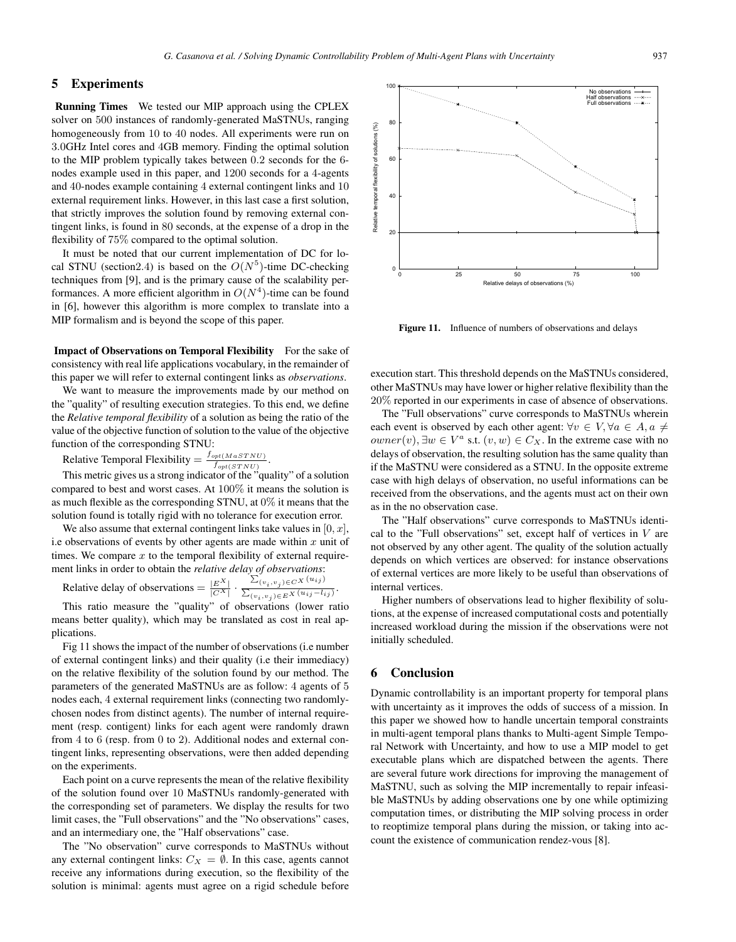## 5 Experiments

Running Times We tested our MIP approach using the CPLEX solver on 500 instances of randomly-generated MaSTNUs, ranging homogeneously from 10 to 40 nodes. All experiments were run on 3.0GHz Intel cores and 4GB memory. Finding the optimal solution to the MIP problem typically takes between 0.2 seconds for the 6 nodes example used in this paper, and 1200 seconds for a 4-agents and 40-nodes example containing 4 external contingent links and 10 external requirement links. However, in this last case a first solution, that strictly improves the solution found by removing external contingent links, is found in 80 seconds, at the expense of a drop in the flexibility of 75% compared to the optimal solution.

It must be noted that our current implementation of DC for local STNU (section 2.4) is based on the  $O(N^5)$ -time DC-checking techniques from [9], and is the primary cause of the scalability performances. A more efficient algorithm in  $O(N^4)$ -time can be found in [6], however this algorithm is more complex to translate into a MIP formalism and is beyond the scope of this paper.

Impact of Observations on Temporal Flexibility For the sake of consistency with real life applications vocabulary, in the remainder of this paper we will refer to external contingent links as *observations*.

We want to measure the improvements made by our method on the "quality" of resulting execution strategies. To this end, we define the *Relative temporal flexibility* of a solution as being the ratio of the value of the objective function of solution to the value of the objective function of the corresponding STNU:

Relative Temporal Flexibility  $= \frac{f_{opt(MaSTNU)}}{f_{opt(STNU)}}$ .

This metric gives us a strong indicator of the "quality" of a solution compared to best and worst cases. At 100% it means the solution is as much flexible as the corresponding STNU, at  $0\%$  it means that the solution found is totally rigid with no tolerance for execution error.

We also assume that external contingent links take values in  $[0, x]$ , i.e observations of events by other agents are made within  $x$  unit of times. We compare  $x$  to the temporal flexibility of external requirement links in order to obtain the *relative delay of observations*:

Relative delay of observations  $= \frac{|E^X|}{|C^X|} \cdot \frac{\sum_{(v_i, v_j) \in C^X} (u_{ij})}{\sum_{(v_i, v_j) \in E^X} (u_{ij} - l_{ij})}$ .

This ratio measure the "quality" of observations (lower ratio means better quality), which may be translated as cost in real applications.

Fig 11 shows the impact of the number of observations (i.e number of external contingent links) and their quality (i.e their immediacy) on the relative flexibility of the solution found by our method. The parameters of the generated MaSTNUs are as follow: 4 agents of 5 nodes each, 4 external requirement links (connecting two randomlychosen nodes from distinct agents). The number of internal requirement (resp. contigent) links for each agent were randomly drawn from 4 to 6 (resp. from 0 to 2). Additional nodes and external contingent links, representing observations, were then added depending on the experiments.

Each point on a curve represents the mean of the relative flexibility of the solution found over 10 MaSTNUs randomly-generated with the corresponding set of parameters. We display the results for two limit cases, the "Full observations" and the "No observations" cases, and an intermediary one, the "Half observations" case.

The "No observation" curve corresponds to MaSTNUs without any external contingent links:  $C_X = \emptyset$ . In this case, agents cannot receive any informations during execution, so the flexibility of the solution is minimal: agents must agree on a rigid schedule before



Figure 11. Influence of numbers of observations and delays

execution start. This threshold depends on the MaSTNUs considered, other MaSTNUs may have lower or higher relative flexibility than the 20% reported in our experiments in case of absence of observations.

The "Full observations" curve corresponds to MaSTNUs wherein each event is observed by each other agent:  $\forall v \in V, \forall a \in A, a \neq 0$  $owner(v), \exists w \in V^a \text{ s.t. } (v, w) \in C_X.$  In the extreme case with no delays of observation, the resulting solution has the same quality than if the MaSTNU were considered as a STNU. In the opposite extreme case with high delays of observation, no useful informations can be received from the observations, and the agents must act on their own as in the no observation case.

The "Half observations" curve corresponds to MaSTNUs identical to the "Full observations" set, except half of vertices in  $V$  are not observed by any other agent. The quality of the solution actually depends on which vertices are observed: for instance observations of external vertices are more likely to be useful than observations of internal vertices.

Higher numbers of observations lead to higher flexibility of solutions, at the expense of increased computational costs and potentially increased workload during the mission if the observations were not initially scheduled.

## 6 Conclusion

Dynamic controllability is an important property for temporal plans with uncertainty as it improves the odds of success of a mission. In this paper we showed how to handle uncertain temporal constraints in multi-agent temporal plans thanks to Multi-agent Simple Temporal Network with Uncertainty, and how to use a MIP model to get executable plans which are dispatched between the agents. There are several future work directions for improving the management of MaSTNU, such as solving the MIP incrementally to repair infeasible MaSTNUs by adding observations one by one while optimizing computation times, or distributing the MIP solving process in order to reoptimize temporal plans during the mission, or taking into account the existence of communication rendez-vous [8].